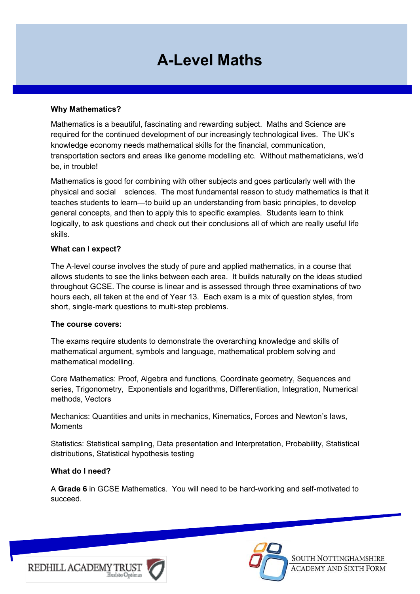# **A-Level Maths**

#### **Why Mathematics?**

Mathematics is a beautiful, fascinating and rewarding subject. Maths and Science are required for the continued development of our increasingly technological lives. The UK's knowledge economy needs mathematical skills for the financial, communication, transportation sectors and areas like genome modelling etc. Without mathematicians, we'd be, in trouble!

Mathematics is good for combining with other subjects and goes particularly well with the physical and social sciences. The most fundamental reason to study mathematics is that it teaches students to learn—to build up an understanding from basic principles, to develop general concepts, and then to apply this to specific examples. Students learn to think logically, to ask questions and check out their conclusions all of which are really useful life skills.

#### **What can I expect?**

The A-level course involves the study of pure and applied mathematics, in a course that allows students to see the links between each area. It builds naturally on the ideas studied throughout GCSE. The course is linear and is assessed through three examinations of two hours each, all taken at the end of Year 13. Each exam is a mix of question styles, from short, single-mark questions to multi-step problems.

#### **The course covers:**

The exams require students to demonstrate the overarching knowledge and skills of mathematical argument, symbols and language, mathematical problem solving and mathematical modelling.

Core Mathematics: Proof, Algebra and functions, Coordinate geometry, Sequences and series, Trigonometry, Exponentials and logarithms, Differentiation, Integration, Numerical methods, Vectors

Mechanics: Quantities and units in mechanics, Kinematics, Forces and Newton's laws, **Moments** 

Statistics: Statistical sampling, Data presentation and Interpretation, Probability, Statistical distributions, Statistical hypothesis testing

#### **What do I need?**

A **Grade 6** in GCSE Mathematics. You will need to be hard-working and self-motivated to succeed.





SOUTH NOTTINGHAMSHIRE **ACADEMY AND SIXTH FORM**